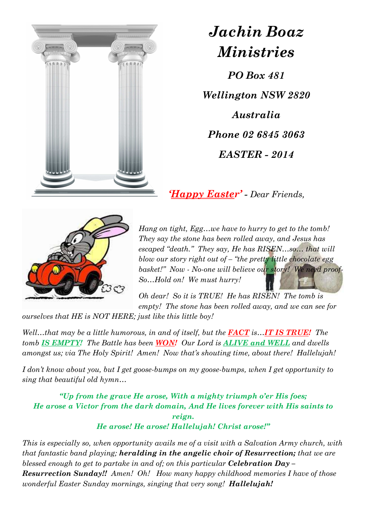

## *Jachin Boaz Ministries*

*PO Box 481 Wellington NSW 2820 Australia Phone 02 6845 3063 EASTER - 2014* 

*'Happy Easter' - Dear Friends,*



*Hang on tight, Egg…we have to hurry to get to the tomb! They say the stone has been rolled away, and Jesus has escaped "death." They say, He has RISEN…so… that will blow our story right out of – "the pretty little chocolate egg basket!" Now - No-one will believe our story! We need proof-So…Hold on! We must hurry!* 

*Oh dear! So it is TRUE! He has RISEN! The tomb is empty! The stone has been rolled away, and we can see for* 

*ourselves that HE is NOT HERE; just like this little boy!* 

*Well…that may be a little humorous, in and of itself, but the FACT is…<i>IT IS TRUE!* The *tomb IS EMPTY! The Battle has been WON! Our Lord is ALIVE and WELL and dwells amongst us; via The Holy Spirit! Amen! Now that's shouting time, about there! Hallelujah!* 

*I don't know about you, but I get goose-bumps on my goose-bumps, when I get opportunity to sing that beautiful old hymn…*

*"Up from the grave He arose, With a mighty triumph o'er His foes; He arose a Victor from the dark domain, And He lives forever with His saints to reign. He arose! He arose! Hallelujah! Christ arose!"* 

*This is especially so, when opportunity avails me of a visit with a Salvation Army church, with that fantastic band playing; heralding in the angelic choir of Resurrection; that we are blessed enough to get to partake in and of; on this particular <i>Celebration* Day – *Resurrection Sunday!! Amen! Oh! How many happy childhood memories I have of those wonderful Easter Sunday mornings, singing that very song! Hallelujah!*